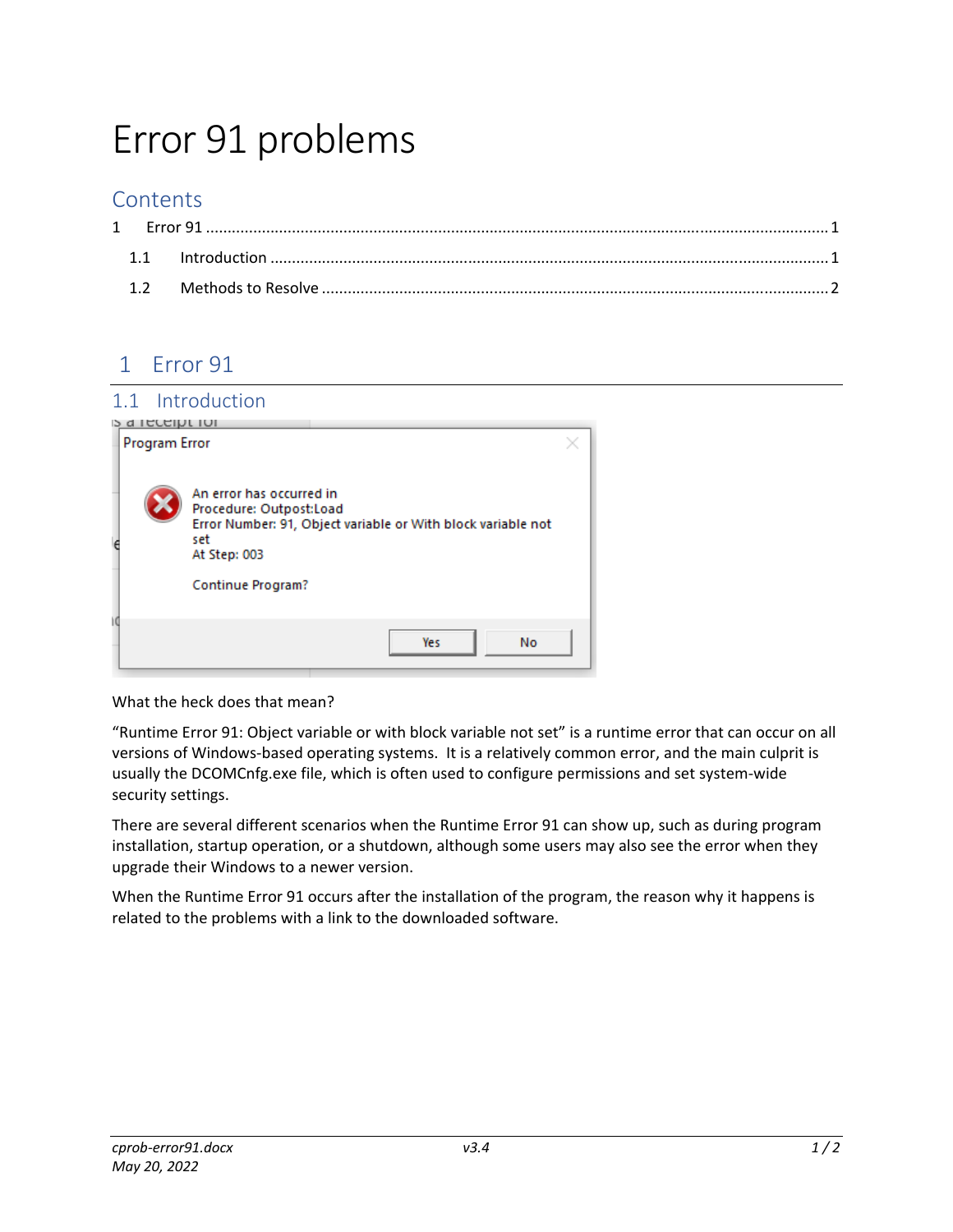# Error 91 problems

### **Contents**

## 1 Error 91

#### 1.1 Introduction

|    | <b>S</b> a receipt for |                                                                                                                                                                        |  |  |  |  |
|----|------------------------|------------------------------------------------------------------------------------------------------------------------------------------------------------------------|--|--|--|--|
|    | Program Error          |                                                                                                                                                                        |  |  |  |  |
| e  |                        | An error has occurred in<br>Procedure: Outpost:Load<br>Error Number: 91, Object variable or With block variable not<br>set<br>At Step: 003<br><b>Continue Program?</b> |  |  |  |  |
| ١đ |                        |                                                                                                                                                                        |  |  |  |  |
|    |                        | <b>No</b><br>Yes                                                                                                                                                       |  |  |  |  |

What the heck does that mean?

"Runtime Error 91: Object variable or with block variable not set" is a runtime error that can occur on all versions of Windows‐based operating systems. It is a relatively common error, and the main culprit is usually the DCOMCnfg.exe file, which is often used to configure permissions and set system‐wide security settings.

There are several different scenarios when the Runtime Error 91 can show up, such as during program installation, startup operation, or a shutdown, although some users may also see the error when they upgrade their Windows to a newer version.

When the Runtime Error 91 occurs after the installation of the program, the reason why it happens is related to the problems with a link to the downloaded software.